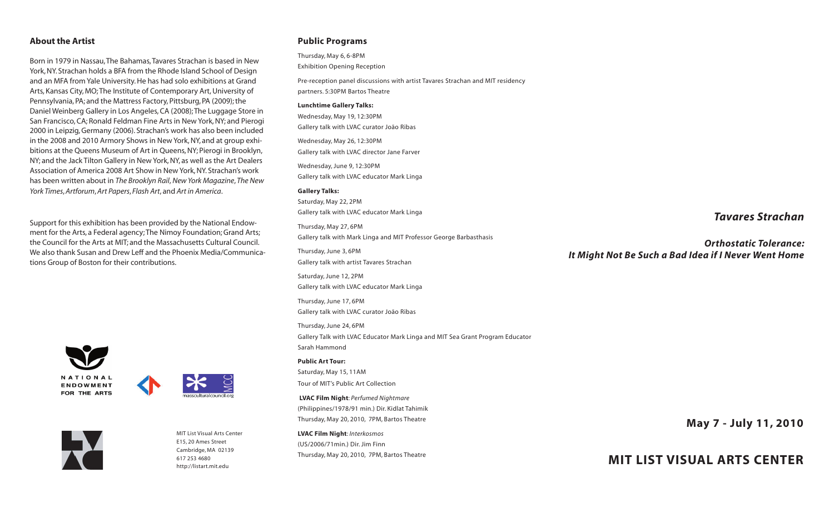### **About the Artist**

Born in 1979 in Nassau,The Bahamas,Tavares Strachan is based in New York, NY. Strachan holds a BFA from the Rhode Island School of Design and an MFA from Yale University. He has had solo exhibitions at Grand Arts, Kansas City, MO;The Institute of Contemporary Art, University of Pennsylvania, PA; and the Mattress Factory, Pittsburg, PA (2009); the Daniel Weinberg Gallery in Los Angeles, CA (2008);The Luggage Store in San Francisco, CA; Ronald Feldman Fine Arts in New York, NY; and Pierogi 2000 in Leipzig, Germany (2006). Strachan's work has also been included in the 2008 and 2010 Armory Shows in New York, NY, and at group exhibitions at the Queens Museum of Art in Queens, NY; Pierogi in Brooklyn, NY; and the Jack Tilton Gallery in New York, NY, as well as the Art Dealers Association of America 2008 Art Show in New York, NY. Strachan's work has been written about in *The Brooklyn Rail*, *New York Magazine*, *The New York Times*, *Artforum*, *Art Papers*, *Flash Art*, and *Art in America*.

Support for this exhibition has been provided by the National Endowment for the Arts, a Federal agency;The Nimoy Foundation; Grand Arts; the Council for the Arts at MIT; and the Massachusetts Cultural Council. We also thank Susan and Drew Leff and the Phoenix Media/Communications Group of Boston for their contributions.







MIT List Visual Arts Center E15, 20 Ames Street Cambridge, MA 02139 617 253 [4680](tel:6172534680) <http://listart.mit.edu>

## **Public Programs**

Thursday, May 6, 6-8PM Exhibition Opening Reception

Pre-reception panel discussions with artist Tavares Strachan and MIT residency partners. 5:30PM Bartos Theatre

#### **Lunchtime Gallery Talks:**

Wednesday, May 19, 12:30PM Gallery talk with LVAC curator João Ribas

Wednesday, May 26, 12:30PM Gallery talk with LVAC director Jane Farver

Wednesday, June 9, 12:30PM Gallery talk with LVAC educator Mark Linga

#### **Gallery Talks:**

Saturday, May 22, 2PM Gallery talk with LVAC educator Mark Linga Thursday, May 27, 6PM Gallery talk with Mark Linga and MIT Professor George Barbasthasis Thursday, June 3, 6PM Gallery talk with artist Tavares Strachan Saturday, June 12, 2PM Gallery talk with LVAC educator Mark Linga Thursday, June 17, 6PM Gallery talk with LVAC curator João Ribas Thursday, June 24, 6PM Gallery Talk with LVAC Educator Mark Linga and MIT Sea Grant Program Educator Sarah Hammond **Public Art Tour:** Saturday, May 15, 11AM Tour of MIT's Public Art Collection **LVAC Film Night**: *Perfumed Nightmare* (Philippines/1978/91 min.) Dir. Kidlat Tahimik Thursday, May 20, 2010, 7PM, Bartos Theatre

**LVAC Film Night**: *Interkosmos* (US/2006/71min.) Dir. Jim Finn Thursday, May 20, 2010, 7PM, Bartos Theatre

## *Tavares Strachan*

*Orthostatic Tolerance: It Might Not Be Such a Bad Idea if I Never Went Home*

**May 7 - July 11, 2010**

# **MIT LIST VISUAL ARTS CENTER**